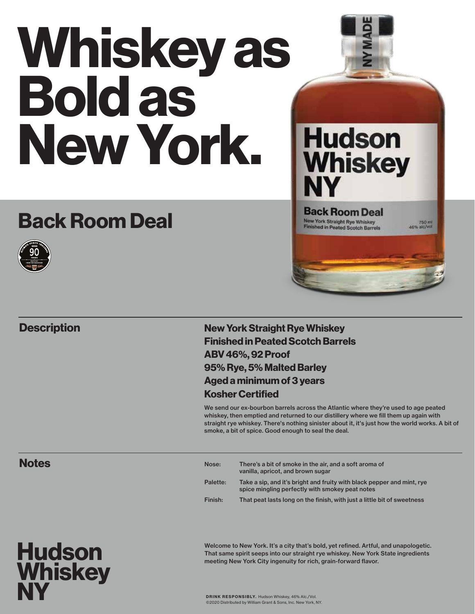# Whiskey as Bold as New York.

## Back Room Deal



#### **Description**



**Hudson** 

New York Straight Rye Whiskey Finished in Peated Scotch Barrels ABV 46%, 92 Proof 95% Rye, 5% Malted Barley Aged a minimum of 3 years Kosher Certified

We send our ex-bourbon barrels across the Atlantic where they're used to age peated whiskey, then emptied and returned to our distillery where we fill them up again with straight rye whiskey. There's nothing sinister about it, it's just how the world works. A bit of smoke, a bit of spice. Good enough to seal the deal.

| Nose:    | There's a bit of smoke in the air, and a soft aroma of<br>vanilla, apricot, and brown sugar                               |
|----------|---------------------------------------------------------------------------------------------------------------------------|
| Palette: | Take a sip, and it's bright and fruity with black pepper and mint, rye<br>spice mingling perfectly with smokey peat notes |
| Finish:  | That peat lasts long on the finish, with just a little bit of sweetness                                                   |

#### Welcome to New York. It's a city that's bold, yet refined. Artful, and unapologetic. That same spirit seeps into our straight rye whiskey. New York State ingredients meeting New York City ingenuity for rich, grain-forward flavor.

DRINK RESPONSIBLY. Hudson Whiskey, 46% Alc./Vol. ©2020 Distributed by William Grant & Sons, Inc. New York, NY.

**Notes**